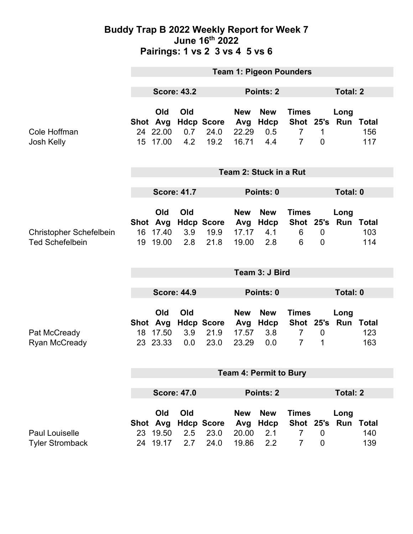### **Buddy Trap B 2022 Weekly Report for Week 7 June 16th 2022 Pairings: 1 vs 2 3 vs 4 5 vs 6**

|                                                          | <b>Team 1: Pigeon Pounders</b>                |                    |                                   |                                     |                                  |                                                               |                                 |                             |                            |
|----------------------------------------------------------|-----------------------------------------------|--------------------|-----------------------------------|-------------------------------------|----------------------------------|---------------------------------------------------------------|---------------------------------|-----------------------------|----------------------------|
|                                                          | <b>Score: 43.2</b>                            | Points: 2          |                                   |                                     |                                  |                                                               | <b>Total: 2</b>                 |                             |                            |
| Cole Hoffman<br>Josh Kelly                               | Old<br>Shot Avg<br>24 22.00<br>15 17.00       | Old<br>0.7<br>4.2  | <b>Hdcp Score</b><br>24.0<br>19.2 | <b>New</b><br>Avg<br>22.29<br>16.71 | <b>New</b><br>Hdcp<br>0.5<br>4.4 | <b>Times</b><br>Shot 25's<br>$\overline{7}$<br>$\overline{7}$ | $\mathbf 1$<br>$\overline{0}$   | Long<br>Run                 | <b>Total</b><br>156<br>117 |
|                                                          | Team 2: Stuck in a Rut                        |                    |                                   |                                     |                                  |                                                               |                                 |                             |                            |
|                                                          | <b>Score: 41.7</b>                            |                    |                                   | Points: 0                           |                                  |                                                               |                                 | Total: 0                    |                            |
| <b>Christopher Schefelbein</b><br><b>Ted Schefelbein</b> | Old<br>Shot Avg<br>17.40<br>16<br>19<br>19.00 | Old<br>3.9<br>2.8  | <b>Hdcp Score</b><br>19.9<br>21.8 | <b>New</b><br>Avg<br>17.17<br>19.00 | <b>New</b><br>Hdcp<br>4.1<br>2.8 | <b>Times</b><br>6<br>6                                        | $\overline{0}$<br>$\mathbf 0$   | Long<br>Shot 25's Run Total | 103<br>114                 |
|                                                          | Team 3: J Bird                                |                    |                                   |                                     |                                  |                                                               |                                 |                             |                            |
|                                                          | <b>Score: 44.9</b>                            |                    |                                   | Points: 0                           |                                  |                                                               | Total: 0                        |                             |                            |
| Pat McCready<br>Ryan McCready                            | Old<br>Shot Avg<br>17.50<br>18<br>23.33<br>23 | Old<br>3.9<br>0.0  | <b>Hdcp Score</b><br>21.9<br>23.0 | <b>New</b><br>Avg<br>17.57<br>23.29 | <b>New</b><br>Hdcp<br>3.8<br>0.0 | <b>Times</b><br>Shot 25's<br>$\overline{7}$<br>$\overline{7}$ | $\mathbf 0$<br>$\mathbf 1$      | Long<br>Run                 | <b>Total</b><br>123<br>163 |
|                                                          | <b>Team 4: Permit to Bury</b>                 |                    |                                   |                                     |                                  |                                                               |                                 |                             |                            |
|                                                          |                                               | <b>Score: 47.0</b> | <b>Points: 2</b>                  |                                     |                                  |                                                               |                                 | <b>Total: 2</b>             |                            |
| <b>Paul Louiselle</b><br><b>Tyler Stromback</b>          | Old<br>Shot Avg<br>23 19.50<br>24 19.17       | Old<br>2.5<br>2.7  | <b>Hdcp Score</b><br>23.0<br>24.0 | <b>New</b><br>Avg<br>20.00<br>19.86 | <b>New</b><br>Hdcp<br>2.1<br>2.2 | <b>Times</b><br><b>Shot 25's</b><br>7<br>$\overline{7}$       | $\mathbf 0$<br>$\boldsymbol{0}$ | Long<br>Run Total           | 140<br>139                 |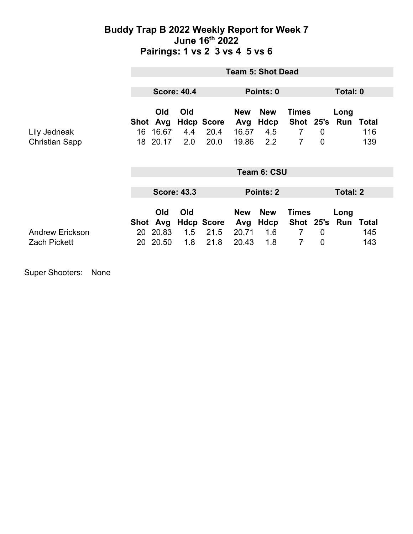### **Buddy Trap B 2022 Weekly Report for Week 7 June 16th 2022 Pairings: 1 vs 2 3 vs 4 5 vs 6**

|                                               | <b>Team 5: Shot Dead</b> |                                     |                   |                                   |                                     |                                  |                                                               |                                  |                       |                     |
|-----------------------------------------------|--------------------------|-------------------------------------|-------------------|-----------------------------------|-------------------------------------|----------------------------------|---------------------------------------------------------------|----------------------------------|-----------------------|---------------------|
|                                               | <b>Score: 40.4</b>       |                                     |                   | Points: 0                         |                                     |                                  | Total: 0                                                      |                                  |                       |                     |
| Lily Jedneak<br><b>Christian Sapp</b>         | Shot<br>16<br>18         | <b>Old</b><br>Avg<br>16.67<br>20.17 | Old<br>4.4<br>2.0 | <b>Hdcp Score</b><br>20.4<br>20.0 | <b>New</b><br>Avg<br>16.57<br>19.86 | <b>New</b><br>Hdcp<br>4.5<br>2.2 | <b>Times</b><br>Shot 25's<br>$\overline{7}$<br>$\overline{7}$ | $\overline{0}$<br>$\overline{0}$ | Long<br>Run           | Total<br>116<br>139 |
|                                               | Team 6: CSU              |                                     |                   |                                   |                                     |                                  |                                                               |                                  |                       |                     |
|                                               | <b>Score: 43.3</b>       |                                     |                   | Points: 2                         |                                     |                                  | <b>Total: 2</b>                                               |                                  |                       |                     |
|                                               |                          | Old<br>Shot Avg                     | Old               | <b>Hdcp Score</b>                 | <b>New</b><br>Avg                   | <b>New</b><br>Hdcp               | <b>Times</b>                                                  |                                  | Long<br>Shot 25's Run | Total               |
| <b>Andrew Erickson</b><br><b>Zach Pickett</b> | 20<br>20                 | 20.83<br>20.50                      | 1.5<br>1.8        | 21.5<br>21.8                      | 20.71<br>20.43                      | 1.6<br>1.8                       | $\overline{7}$<br>7                                           | $\overline{0}$<br>$\overline{0}$ |                       | 145<br>143          |

Super Shooters: None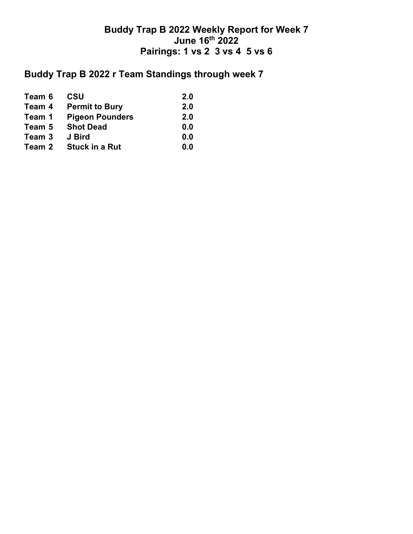## **Buddy Trap B 2022 Weekly Report for Week 7 June 16th 2022 Pairings: 1 vs 2 3 vs 4 5 vs 6**

# **Buddy Trap B 2022 r Team Standings through week 7**

| Team 6 | <b>CSU</b>             | 2.0 |
|--------|------------------------|-----|
| Team 4 | <b>Permit to Bury</b>  | 2.0 |
| Team 1 | <b>Pigeon Pounders</b> | 2.0 |
| Team 5 | <b>Shot Dead</b>       | 0.0 |
| Team 3 | J Bird                 | 0.0 |
| Team 2 | <b>Stuck in a Rut</b>  | 0.0 |
|        |                        |     |